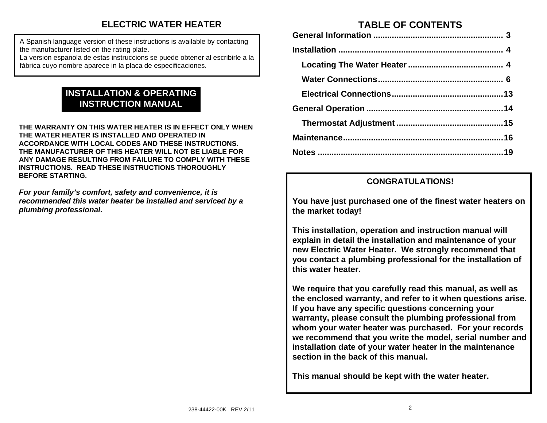# **ELECTRIC WATER HEATER**

A Spanish language version of these instructions is available by contacting the manufacturer listed on the rating plate.

La version espanola de estas instruccions se puede obtener al escribirle a la fábrica cuyo nombre aparece in la placa de especificaciones.

# **INSTALLATION & OPERATING INSTRUCTION MANUAL**

**THE WARRANTY ON THIS WATER HEATER IS IN EFFECT ONLY WHEN THE WATER HEATER IS INSTALLED AND OPERATED IN ACCORDANCE WITH LOCAL CODES AND THESE INSTRUCTIONS. THE MANUFACTURER OF THIS HEATER WILL NOT BE LIABLE FOR ANY DAMAGE RESULTING FROM FAILURE TO COMPLY WITH THESE INSTRUCTIONS. READ THESE INSTRUCTIONS THOROUGHLY BEFORE STARTING.** 

*For your family's comfort, safety and convenience, it is recommended this water heater be installed and serviced by a plumbing professional.*

# **TABLE OF CONTENTS**

## **CONGRATULATIONS!**

**You have just purchased one of the finest water heaters on the market today!** 

**This installation, operation and instruction manual will explain in detail the installation and maintenance of your new Electric Water Heater. We strongly recommend that you contact a plumbing professional for the installation of this water heater.** 

**We require that you carefully read this manual, as well as the enclosed warranty, and refer to it when questions arise. If you have any specific questions concerning your warranty, please consult the plumbing professional from whom your water heater was purchased. For your records we recommend that you write the model, serial number and installation date of your water heater in the maintenance section in the back of this manual.** 

**This manual should be kept with the water heater.**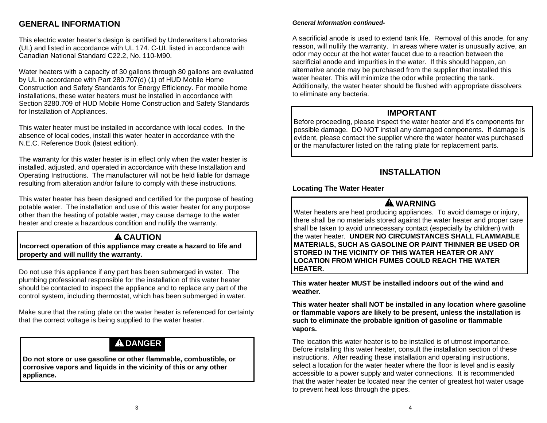## **GENERAL INFORMATION**

This electric water heater's design is certified by Underwriters Laboratories (UL) and listed in accordance with UL 174. C-UL listed in accordance with Canadian National Standard C22.2, No. 110-M90.

Water heaters with a capacity of 30 gallons through 80 gallons are evaluated by UL in accordance with Part 280.707(d) (1) of HUD Mobile Home Construction and Safety Standards for Energy Efficiency. For mobile home installations, these water heaters must be installed in accordance with Section 3280.709 of HUD Mobile Home Construction and Safety Standards for Installation of Appliances.

This water heater must be installed in accordance with local codes. In the absence of local codes, install this water heater in accordance with the N.E.C. Reference Book (latest edition).

The warranty for this water heater is in effect only when the water heater is installed, adjusted, and operated in accordance with these Installation and Operating Instructions. The manufacturer will not be held liable for damage resulting from alteration and/or failure to comply with these instructions.

This water heater has been designed and certified for the purpose of heating potable water. The installation and use of this water heater for any purpose other than the heating of potable water, may cause damage to the water heater and create a hazardous condition and nullify the warranty.

# **A** CAUTION

**Incorrect operation of this appliance may create a hazard to life and property and will nullify the warranty.**

Do not use this appliance if any part has been submerged in water. The plumbing professional responsible for the installation of this water heater should be contacted to inspect the appliance and to replace any part of the control system, including thermostat, which has been submerged in water.

Make sure that the rating plate on the water heater is referenced for certainty that the correct voltage is being supplied to the water heater.

# **DANGER**

**Do not store or use gasoline or other flammable, combustible, or corrosive vapors and liquids in the vicinity of this or any other appliance.** 

#### *General Information continued-*

A sacrificial anode is used to extend tank life. Removal of this anode, for any reason, will nullify the warranty. In areas where water is unusually active, an odor may occur at the hot water faucet due to a reaction between the sacrificial anode and impurities in the water. If this should happen, an alternative anode may be purchased from the supplier that installed this water heater. This will minimize the odor while protecting the tank. Additionally, the water heater should be flushed with appropriate dissolvers to eliminate any bacteria.

### **IMPORTANT**

Before proceeding, please inspect the water heater and it's components for possible damage. DO NOT install any damaged components. If damage is evident, please contact the supplier where the water heater was purchased or the manufacturer listed on the rating plate for replacement parts.

## **INSTALLATION**

### **Locating The Water Heater**

# **WARNING**

Water heaters are heat producing appliances. To avoid damage or injury, there shall be no materials stored against the water heater and proper care shall be taken to avoid unnecessary contact (especially by children) with the water heater. **UNDER NO CIRCUMSTANCES SHALL FLAMMABLE MATERIALS, SUCH AS GASOLINE OR PAINT THINNER BE USED OR STORED IN THE VICINITY OF THIS WATER HEATER OR ANY LOCATION FROM WHICH FUMES COULD REACH THE WATER HEATER.**

**This water heater MUST be installed indoors out of the wind and weather.** 

**This water heater shall NOT be installed in any location where gasoline or flammable vapors are likely to be present, unless the installation is such to eliminate the probable ignition of gasoline or flammable vapors.**

The location this water heater is to be installed is of utmost importance. Before installing this water heater, consult the installation section of these instructions. After reading these installation and operating instructions, select a location for the water heater where the floor is level and is easily accessible to a power supply and water connections. It is recommended that the water heater be located near the center of greatest hot water usage to prevent heat loss through the pipes.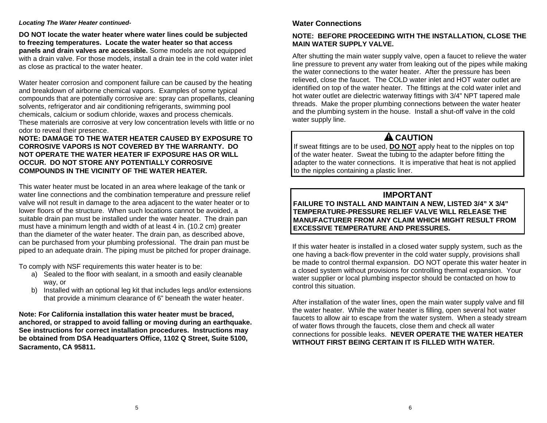#### *Locating The Water Heater continued-*

**DO NOT locate the water heater where water lines could be subjected to freezing temperatures. Locate the water heater so that access panels and drain valves are accessible.** Some models are not equipped with a drain valve. For those models, install a drain tee in the cold water inlet as close as practical to the water heater.

Water heater corrosion and component failure can be caused by the heating and breakdown of airborne chemical vapors. Examples of some typical compounds that are potentially corrosive are: spray can propellants, cleaning solvents, refrigerator and air conditioning refrigerants, swimming pool chemicals, calcium or sodium chloride, waxes and process chemicals. These materials are corrosive at very low concentration levels with little or no odor to reveal their presence.

#### **NOTE: DAMAGE TO THE WATER HEATER CAUSED BY EXPOSURE TO CORROSIVE VAPORS IS NOT COVERED BY THE WARRANTY. DO NOT OPERATE THE WATER HEATER IF EXPOSURE HAS OR WILL OCCUR. DO NOT STORE ANY POTENTIALLY CORROSIVE COMPOUNDS IN THE VICINITY OF THE WATER HEATER.**

This water heater must be located in an area where leakage of the tank or water line connections and the combination temperature and pressure relief valve will not result in damage to the area adjacent to the water heater or to lower floors of the structure. When such locations cannot be avoided, a suitable drain pan must be installed under the water heater. The drain pan must have a minimum length and width of at least 4 in. (10.2 cm) greater than the diameter of the water heater. The drain pan, as described above, can be purchased from your plumbing professional. The drain pan must be piped to an adequate drain. The piping must be pitched for proper drainage.

To comply with NSF requirements this water heater is to be:

- a) Sealed to the floor with sealant, in a smooth and easily cleanable way, or
- b) Installed with an optional leg kit that includes legs and/or extensions that provide a minimum clearance of 6" beneath the water heater.

**Note: For California installation this water heater must be braced, anchored, or strapped to avoid falling or moving during an earthquake. See instructions for correct installation procedures. Instructions may be obtained from DSA Headquarters Office, 1102 Q Street, Suite 5100, Sacramento, CA 95811.** 

### **Water Connections**

### **NOTE: BEFORE PROCEEDING WITH THE INSTALLATION, CLOSE THE MAIN WATER SUPPLY VALVE.**

After shutting the main water supply valve, open a faucet to relieve the water line pressure to prevent any water from leaking out of the pipes while making the water connections to the water heater. After the pressure has been relieved, close the faucet. The COLD water inlet and HOT water outlet are identified on top of the water heater. The fittings at the cold water inlet and hot water outlet are dielectric waterway fittings with 3/4" NPT tapered male threads. Make the proper plumbing connections between the water heater and the plumbing system in the house. Install a shut-off valve in the cold water supply line.

# **A** CAUTION

If sweat fittings are to be used, **DO NOT** apply heat to the nipples on top of the water heater. Sweat the tubing to the adapter before fitting the adapter to the water connections. It is imperative that heat is not applied to the nipples containing a plastic liner.

## **IMPORTANT**

**FAILURE TO INSTALL AND MAINTAIN A NEW, LISTED 3/4" X 3/4" TEMPERATURE-PRESSURE RELIEF VALVE WILL RELEASE THE MANUFACTURER FROM ANY CLAIM WHICH MIGHT RESULT FROM EXCESSIVE TEMPERATURE AND PRESSURES.**

If this water heater is installed in a closed water supply system, such as the one having a back-flow preventer in the cold water supply, provisions shall be made to control thermal expansion. DO NOT operate this water heater in a closed system without provisions for controlling thermal expansion. Your water supplier or local plumbing inspector should be contacted on how to control this situation.

After installation of the water lines, open the main water supply valve and fill the water heater. While the water heater is filling, open several hot water faucets to allow air to escape from the water system. When a steady stream of water flows through the faucets, close them and check all water connections for possible leaks. **NEVER OPERATE THE WATER HEATER WITHOUT FIRST BEING CERTAIN IT IS FILLED WITH WATER.**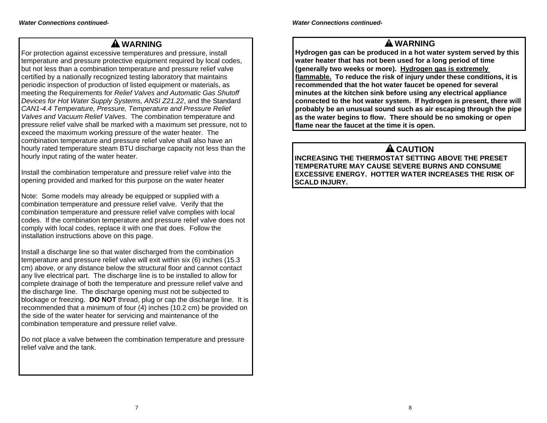## **WARNING**

For protection against excessive temperatures and pressure, install temperature and pressure protective equipment required by local codes, but not less than a combination temperature and pressure relief valve certified by a nationally recognized testing laboratory that maintains periodic inspection of production of listed equipment or materials, as meeting the Requirements for *Relief Valves and Automatic Gas Shutoff Devices for Hot Water Supply Systems, ANSI Z21.22*, and the Standard *CAN1-4.4 Temperature, Pressure, Temperature and Pressure Relief Valves and Vacuum Relief Valves*. The combination temperature and pressure relief valve shall be marked with a maximum set pressure, not to exceed the maximum working pressure of the water heater. The combination temperature and pressure relief valve shall also have an hourly rated temperature steam BTU discharge capacity not less than the hourly input rating of the water heater.

Install the combination temperature and pressure relief valve into the opening provided and marked for this purpose on the water heater

Note: Some models may already be equipped or supplied with a combination temperature and pressure relief valve. Verify that the combination temperature and pressure relief valve complies with local codes. If the combination temperature and pressure relief valve does not comply with local codes, replace it with one that does. Follow the installation instructions above on this page.

Install a discharge line so that water discharged from the combination temperature and pressure relief valve will exit within six (6) inches (15.3 cm) above, or any distance below the structural floor and cannot contact any live electrical part. The discharge line is to be installed to allow for complete drainage of both the temperature and pressure relief valve and the discharge line. The discharge opening must not be subjected to blockage or freezing. **DO NOT** thread, plug or cap the discharge line. It is recommended that a minimum of four (4) inches (10.2 cm) be provided on the side of the water heater for servicing and maintenance of the combination temperature and pressure relief valve.

Do not place a valve between the combination temperature and pressure relief valve and the tank.

## **WARNING**

**Hydrogen gas can be produced in a hot water system served by this water heater that has not been used for a long period of time (generally two weeks or more). Hydrogen gas is extremely flammable. To reduce the risk of injury under these conditions, it is recommended that the hot water faucet be opened for several minutes at the kitchen sink before using any electrical appliance connected to the hot water system. If hydrogen is present, there will probably be an unusual sound such as air escaping through the pipe as the water begins to flow. There should be no smoking or open flame near the faucet at the time it is open.**

# **A** CAUTION

**INCREASING THE THERMOSTAT SETTING ABOVE THE PRESET TEMPERATURE MAY CAUSE SEVERE BURNS AND CONSUME EXCESSIVE ENERGY. HOTTER WATER INCREASES THE RISK OF SCALD INJURY.**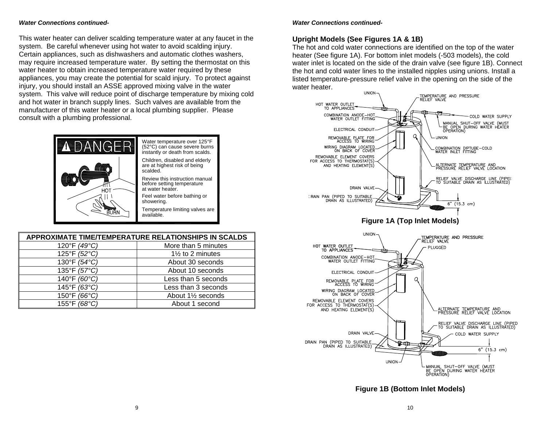#### *Water Connections continued-*

This water heater can deliver scalding temperature water at any faucet in the system. Be careful whenever using hot water to avoid scalding injury. Certain appliances, such as dishwashers and automatic clothes washers, may require increased temperature water. By setting the thermostat on this water heater to obtain increased temperature water required by these appliances, you may create the potential for scald injury. To protect against injury, you should install an ASSE approved mixing valve in the water system. This valve will reduce point of discharge temperature by mixing cold and hot water in branch supply lines. Such valves are available from the manufacturer of this water heater or a local plumbing supplier. Please consult with a plumbing professional.



| <b>APPROXIMATE TIME/TEMPERATURE RELATIONSHIPS IN SCALDS</b> |                             |  |  |  |
|-------------------------------------------------------------|-----------------------------|--|--|--|
| 120°F (49°C)                                                | More than 5 minutes         |  |  |  |
| 125°F (52°C)                                                | $1\frac{1}{2}$ to 2 minutes |  |  |  |
| 130°F (54°C)                                                | About 30 seconds            |  |  |  |
| 135°F (57°C)                                                | About 10 seconds            |  |  |  |
| 140°F (60°C)                                                | Less than 5 seconds         |  |  |  |
| 145°F (63°C)                                                | Less than 3 seconds         |  |  |  |
| 150°F (66°C)                                                | About 11/2 seconds          |  |  |  |
| 155°F (68°C)                                                | About 1 second              |  |  |  |

#### *Water Connections continued-*

### **Upright Models (See Figures 1A & 1B)**

The hot and cold water connections are identified on the top of the water heater (See figure 1A). For bottom inlet models (-503 models), the cold water inlet is located on the side of the drain valve (see figure 1B). Connect the hot and cold water lines to the installed nipples using unions. Install a listed temperature-pressure relief valve in the opening on the side of the water heater.



**Figure 1B (Bottom Inlet Models)**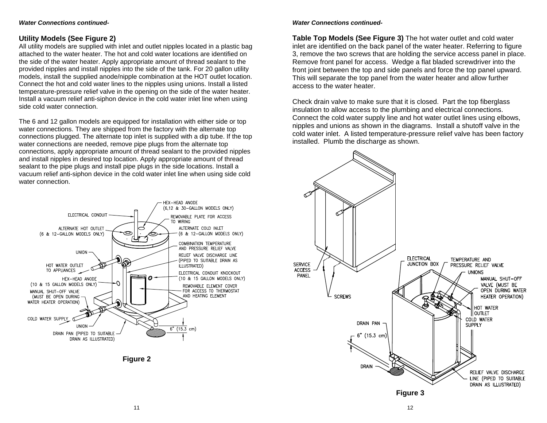#### *Water Connections continued-*

#### **Utility Models (See Figure 2)**

All utility models are supplied with inlet and outlet nipples located in a plastic bag attached to the water heater. The hot and cold water locations are identified on the side of the water heater. Apply appropriate amount of thread sealant to the provided nipples and install nipples into the side of the tank. For 20 gallon utility models, install the supplied anode/nipple combination at the HOT outlet location. Connect the hot and cold water lines to the nipples using unions. Install a listed temperature-pressure relief valve in the opening on the side of the water heater. Install a vacuum relief anti-siphon device in the cold water inlet line when using side cold water connection.

The 6 and 12 gallon models are equipped for installation with either side or top water connections. They are shipped from the factory with the alternate top connections plugged. The alternate top inlet is supplied with a dip tube. If the top water connections are needed, remove pipe plugs from the alternate top connections, apply appropriate amount of thread sealant to the provided nipples and install nipples in desired top location. Apply appropriate amount of thread sealant to the pipe plugs and install pipe plugs in the side locations. Install a vacuum relief anti-siphon device in the cold water inlet line when using side cold water connection.





#### *Water Connections continued-*

**Table Top Models (See Figure 3)** The hot water outlet and cold water inlet are identified on the back panel of the water heater. Referring to figure 3, remove the two screws that are holding the service access panel in place. Remove front panel for access. Wedge a flat bladed screwdriver into the front joint between the top and side panels and force the top panel upward. This will separate the top panel from the water heater and allow further access to the water heater.

Check drain valve to make sure that it is closed. Part the top fiberglass insulation to allow access to the plumbing and electrical connections. Connect the cold water supply line and hot water outlet lines using elbows, nipples and unions as shown in the diagrams. Install a shutoff valve in the cold water inlet. A listed temperature-pressure relief valve has been factory installed. Plumb the discharge as shown.

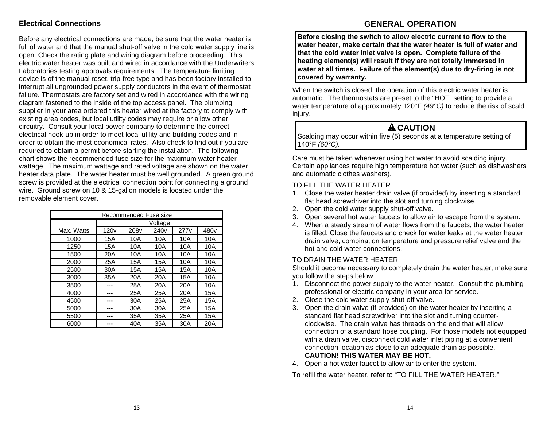### **Electrical Connections**

Before any electrical connections are made, be sure that the water heater is full of water and that the manual shut-off valve in the cold water supply line is open. Check the rating plate and wiring diagram before proceeding. This electric water heater was built and wired in accordance with the Underwriters Laboratories testing approvals requirements. The temperature limiting device is of the manual reset, trip-free type and has been factory installed to interrupt all ungrounded power supply conductors in the event of thermostat failure. Thermostats are factory set and wired in accordance with the wiring diagram fastened to the inside of the top access panel. The plumbing supplier in your area ordered this heater wired at the factory to comply with existing area codes, but local utility codes may require or allow other circuitry. Consult your local power company to determine the correct electrical hook-up in order to meet local utility and building codes and in order to obtain the most economical rates. Also check to find out if you are required to obtain a permit before starting the installation. The following chart shows the recommended fuse size for the maximum water heater wattage. The maximum wattage and rated voltage are shown on the water heater data plate. The water heater must be well grounded. A green ground screw is provided at the electrical connection point for connecting a ground wire. Ground screw on 10 & 15-gallon models is located under the removable element cover.

| Recommended Fuse size |         |                  |                  |                  |                  |
|-----------------------|---------|------------------|------------------|------------------|------------------|
|                       | Voltage |                  |                  |                  |                  |
| Max. Watts            | 120v    | 208 <sub>V</sub> | 240 <sub>v</sub> | 277 <sub>V</sub> | 480 <sub>v</sub> |
| 1000                  | 15A     | 10A              | 10A              | 10A              | 10A              |
| 1250                  | 15A     | 10A              | 10A              | 10A              | 10A              |
| 1500                  | 20A     | 10A              | 10A              | 10A              | 10A              |
| 2000                  | 25A     | 15A              | 15A              | 10A              | 10A              |
| 2500                  | 30A     | 15A              | 15A              | 15A              | 10A              |
| 3000                  | 35A     | 20A              | 20A              | 15A              | 10A              |
| 3500                  |         | 25A              | 20A              | 20A              | 10A              |
| 4000                  |         | 25A              | 25A              | 20A              | 15A              |
| 4500                  |         | 30A              | 25A              | 25A              | 15A              |
| 5000                  |         | 30A              | 30A              | 25A              | 15A              |
| 5500                  |         | 35A              | 35A              | 25A              | 15A              |
| 6000                  |         | 40A              | 35A              | 30A              | 20A              |

### **GENERAL OPERATION**

**Before closing the switch to allow electric current to flow to the water heater, make certain that the water heater is full of water and that the cold water inlet valve is open. Complete failure of the heating element(s) will result if they are not totally immersed in water at all times. Failure of the element(s) due to dry-firing is not covered by warranty.**

When the switch is closed, the operation of this electric water heater is automatic. The thermostats are preset to the "HOT" setting to provide a water temperature of approximately 120°F *(49°C)* to reduce the risk of scald injury.

## **ACAUTION**

Scalding may occur within five (5) seconds at a temperature setting of 140°F *(60°C).*

Care must be taken whenever using hot water to avoid scalding injury. Certain appliances require high temperature hot water (such as dishwashers and automatic clothes washers).

### TO FILL THE WATER HEATER

- 1. Close the water heater drain valve (if provided) by inserting a standard flat head screwdriver into the slot and turning clockwise.
- 2. Open the cold water supply shut-off valve.
- 3. Open several hot water faucets to allow air to escape from the system.
- 4. When a steady stream of water flows from the faucets, the water heater is filled. Close the faucets and check for water leaks at the water heater drain valve, combination temperature and pressure relief valve and the hot and cold water connections.

### TO DRAIN THE WATER HEATER

Should it become necessary to completely drain the water heater, make sure you follow the steps below:

- 1. Disconnect the power supply to the water heater. Consult the plumbing professional or electric company in your area for service.
- 2. Close the cold water supply shut-off valve.
- 3. Open the drain valve (if provided) on the water heater by inserting a standard flat head screwdriver into the slot and turning counterclockwise. The drain valve has threads on the end that will allow connection of a standard hose coupling. For those models not equipped with a drain valve, disconnect cold water inlet piping at a convenient connection location as close to an adequate drain as possible. **CAUTION! THIS WATER MAY BE HOT.**
- 4. Open a hot water faucet to allow air to enter the system.

To refill the water heater, refer to "TO FILL THE WATER HEATER."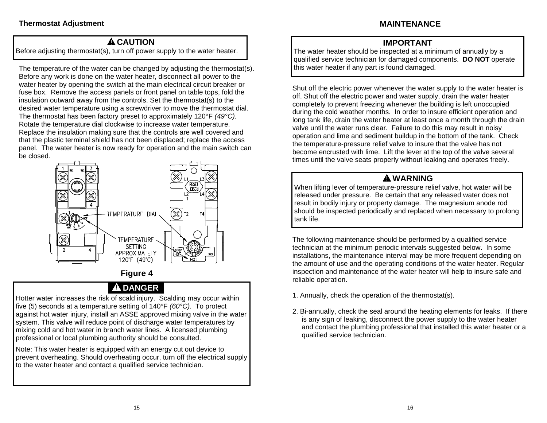## **ACAUTION**

Before adjusting thermostat(s), turn off power supply to the water heater.

The temperature of the water can be changed by adjusting the thermostat(s). Before any work is done on the water heater, disconnect all power to the water heater by opening the switch at the main electrical circuit breaker or fuse box. Remove the access panels or front panel on table tops, fold the insulation outward away from the controls. Set the thermostat(s) to the desired water temperature using a screwdriver to move the thermostat dial. The thermostat has been factory preset to approximately 120°F *(49°C).* Rotate the temperature dial clockwise to increase water temperature. Replace the insulation making sure that the controls are well covered and that the plastic terminal shield has not been displaced; replace the access panel. The water heater is now ready for operation and the main switch can be closed.



# **Figure 4**

# **DANGER**

Hotter water increases the risk of scald injury. Scalding may occur within five (5) seconds at a temperature setting of 140°F *(60°C).* To protect against hot water injury, install an ASSE approved mixing valve in the water system. This valve will reduce point of discharge water temperatures by mixing cold and hot water in branch water lines. A licensed plumbing professional or local plumbing authority should be consulted.

Note: This water heater is equipped with an energy cut out device to prevent overheating. Should overheating occur, turn off the electrical supply to the water heater and contact a qualified service technician.

## **IMPORTANT**

The water heater should be inspected at a minimum of annually by a qualified service technician for damaged components. **DO NOT** operate this water heater if any part is found damaged.

Shut off the electric power whenever the water supply to the water heater is off. Shut off the electric power and water supply, drain the water heater completely to prevent freezing whenever the building is left unoccupied during the cold weather months. In order to insure efficient operation and long tank life, drain the water heater at least once a month through the drain valve until the water runs clear. Failure to do this may result in noisy operation and lime and sediment buildup in the bottom of the tank. Check the temperature-pressure relief valve to insure that the valve has not become encrusted with lime. Lift the lever at the top of the valve several times until the valve seats properly without leaking and operates freely.

## **WARNING**

When lifting lever of temperature-pressure relief valve, hot water will be released under pressure. Be certain that any released water does not result in bodily injury or property damage. The magnesium anode rod should be inspected periodically and replaced when necessary to prolong tank life.

The following maintenance should be performed by a qualified service technician at the minimum periodic intervals suggested below. In some installations, the maintenance interval may be more frequent depending on the amount of use and the operating conditions of the water heater. Regular inspection and maintenance of the water heater will help to insure safe and reliable operation.

- 1. Annually, check the operation of the thermostat(s).
- 2. Bi-annually, check the seal around the heating elements for leaks. If there is any sign of leaking, disconnect the power supply to the water heater and contact the plumbing professional that installed this water heater or a qualified service technician.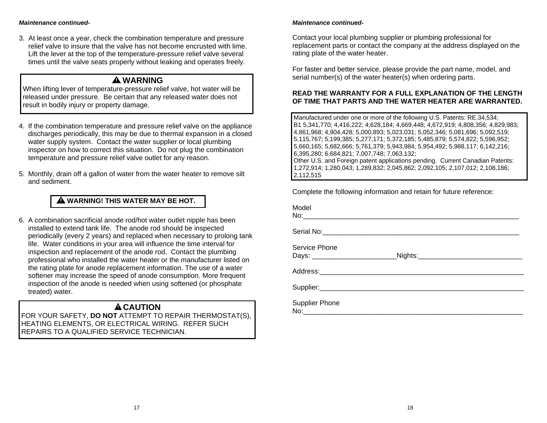#### *Maintenance continued-*

3. At least once a year, check the combination temperature and pressure relief valve to insure that the valve has not become encrusted with lime. Lift the lever at the top of the temperature-pressure relief valve several times until the valve seats properly without leaking and operates freely.

## **WARNING**

When lifting lever of temperature-pressure relief valve, hot water will be released under pressure. Be certain that any released water does not result in bodily injury or property damage.

- 4. If the combination temperature and pressure relief valve on the appliance discharges periodically, this may be due to thermal expansion in a closed water supply system. Contact the water supplier or local plumbing inspector on how to correct this situation. Do not plug the combination temperature and pressure relief valve outlet for any reason.
- 5. Monthly, drain off a gallon of water from the water heater to remove silt and sediment.

### **WARNING! THIS WATER MAY BE HOT.**

6. A combination sacrificial anode rod/hot water outlet nipple has been installed to extend tank life. The anode rod should be inspected periodically (every 2 years) and replaced when necessary to prolong tank life. Water conditions in your area will influence the time interval for inspection and replacement of the anode rod. Contact the plumbing professional who installed the water heater or the manufacturer listed on the rating plate for anode replacement information. The use of a water softener may increase the speed of anode consumption. More frequent inspection of the anode is needed when using softened (or phosphate treated) water.

## **ACAUTION**

FOR YOUR SAFETY, **DO NOT** ATTEMPT TO REPAIR THERMOSTAT(S), HEATING ELEMENTS, OR ELECTRICAL WIRING. REFER SUCH REPAIRS TO A QUALIFIED SERVICE TECHNICIAN.

#### *Maintenance continued-*

Contact your local plumbing supplier or plumbing professional for replacement parts or contact the company at the address displayed on the rating plate of the water heater.

For faster and better service, please provide the part name, model, and serial number(s) of the water heater(s) when ordering parts.

#### **READ THE WARRANTY FOR A FULL EXPLANATION OF THE LENGTH OF TIME THAT PARTS AND THE WATER HEATER ARE WARRANTED.**

Manufactured under one or more of the following U.S. Patents: RE.34,534; B1 5,341,770; 4,416,222; 4,628,184; 4,669,448; 4,672,919; 4,808,356; 4,829,983; 4,861,968; 4,904,428; 5,000,893; 5,023,031; 5,052,346; 5,081,696; 5,092,519; 5,115,767; 5,199,385; 5,277,171; 5,372,185; 5,485,879; 5,574,822; 5,596,952; 5,660,165; 5,682,666; 5,761,379; 5,943,984; 5,954,492; 5,988,117; 6,142,216; 6,395,280; 6,684,821; 7,007,748; 7,063,132; Other U.S. and Foreign patent applications pending. Current Canadian Patents: 1,272,914; 1,280,043; 1,289,832; 2,045,862; 2,092,105; 2,107,012; 2,108,186; 2,112,515

Complete the following information and retain for future reference:

| Model                                            |  |
|--------------------------------------------------|--|
|                                                  |  |
| Service Phone<br>Days: _________________________ |  |
|                                                  |  |
|                                                  |  |
| <b>Supplier Phone</b>                            |  |